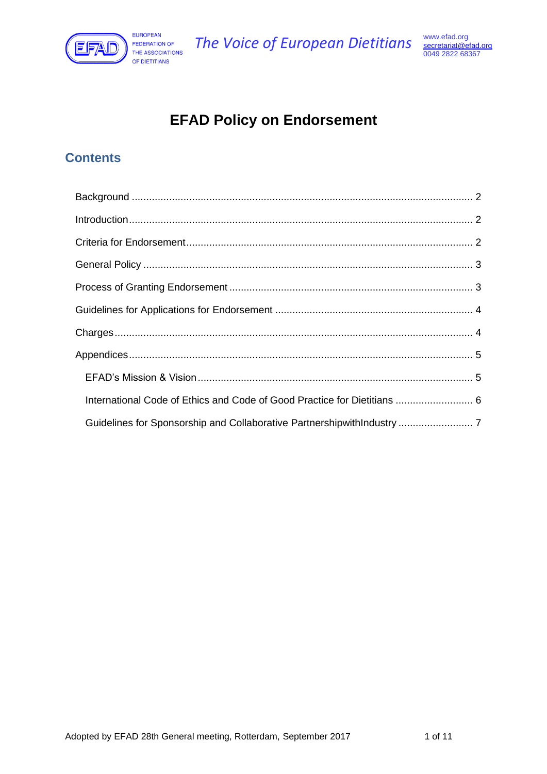

# **EFAD Policy on Endorsement**

# **Contents**

| International Code of Ethics and Code of Good Practice for Dietitians  6 |  |
|--------------------------------------------------------------------------|--|
| Guidelines for Sponsorship and Collaborative PartnershipwithIndustry  7  |  |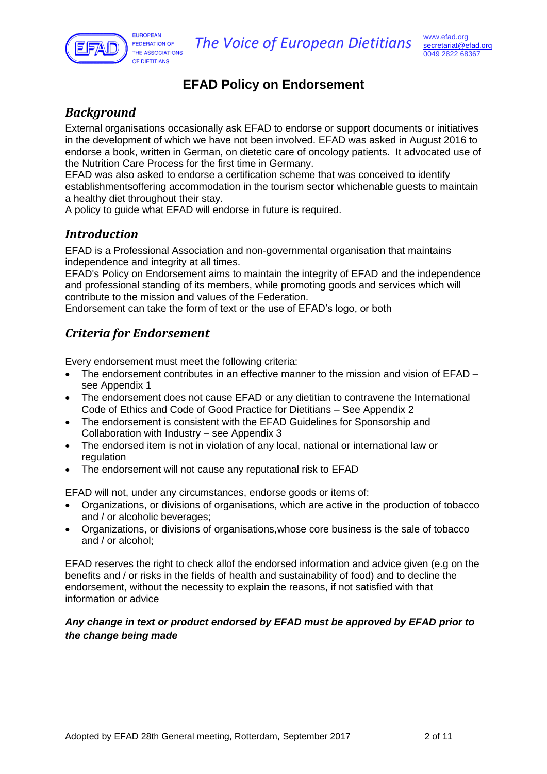

# **EFAD Policy on Endorsement**

# <span id="page-1-0"></span>*Background*

External organisations occasionally ask EFAD to endorse or support documents or initiatives in the development of which we have not been involved. EFAD was asked in August 2016 to endorse a book, written in German, on dietetic care of oncology patients. It advocated use of the Nutrition Care Process for the first time in Germany.

EFAD was also asked to endorse a certification scheme that was conceived to identify establishmentsoffering accommodation in the tourism sector whichenable guests to maintain a healthy diet throughout their stay.

<span id="page-1-1"></span>A policy to guide what EFAD will endorse in future is required.

# *Introduction*

EFAD is a Professional Association and non-governmental organisation that maintains independence and integrity at all times.

EFAD's Policy on Endorsement aims to maintain the integrity of EFAD and the independence and professional standing of its members, while promoting goods and services which will contribute to the mission and values of the Federation.

<span id="page-1-2"></span>Endorsement can take the form of text or the use of EFAD's logo, or both

# *Criteria for Endorsement*

Every endorsement must meet the following criteria:

- The endorsement contributes in an effective manner to the mission and vision of EFAD see Appendix 1
- The endorsement does not cause EFAD or any dietitian to contravene the International Code of Ethics and Code of Good Practice for Dietitians – See Appendix 2
- The endorsement is consistent with the EFAD Guidelines for Sponsorship and Collaboration with Industry – see Appendix 3
- The endorsed item is not in violation of any local, national or international law or regulation
- The endorsement will not cause any reputational risk to EFAD

EFAD will not, under any circumstances, endorse goods or items of:

- Organizations, or divisions of organisations, which are active in the production of tobacco and / or alcoholic beverages;
- Organizations, or divisions of organisations,whose core business is the sale of tobacco and / or alcohol;

EFAD reserves the right to check allof the endorsed information and advice given (e.g on the benefits and / or risks in the fields of health and sustainability of food) and to decline the endorsement, without the necessity to explain the reasons, if not satisfied with that information or advice

### <span id="page-1-3"></span>*Any change in text or product endorsed by EFAD must be approved by EFAD prior to the change being made*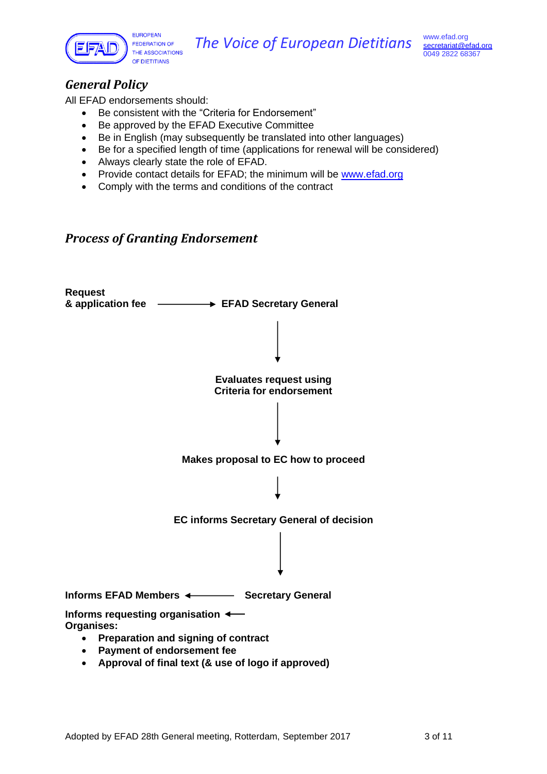

# *General Policy*

All EFAD endorsements should:

- Be consistent with the "Criteria for Endorsement"
- Be approved by the EFAD Executive Committee
- Be in English (may subsequently be translated into other languages)
- Be for a specified length of time (applications for renewal will be considered)
- Always clearly state the role of EFAD.
- Provide contact details for EFAD; the minimum will be [www.efad.org](http://www.efad.org/)
- Comply with the terms and conditions of the contract

### <span id="page-2-0"></span>*Process of Granting Endorsement*

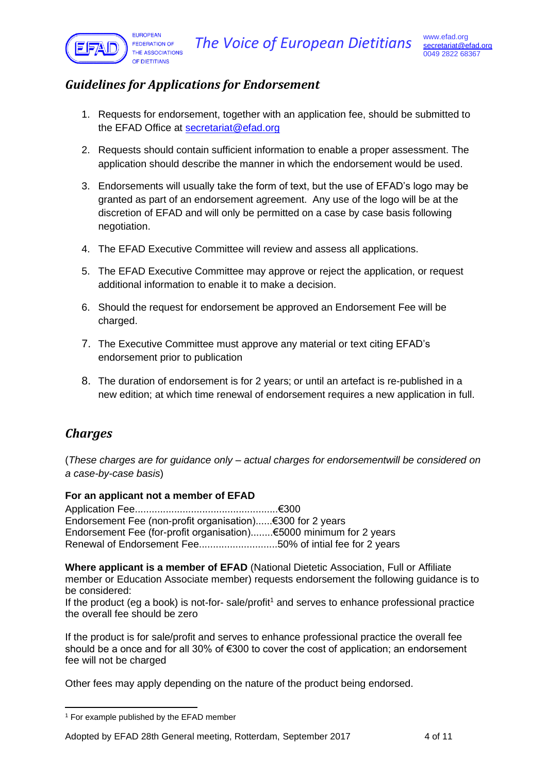

# <span id="page-3-0"></span>*Guidelines for Applications for Endorsement*

- 1. Requests for endorsement, together with an application fee, should be submitted to the EFAD Office at [secretariat@efad.org](mailto:secretariat@efad.org)
- 2. Requests should contain sufficient information to enable a proper assessment. The application should describe the manner in which the endorsement would be used.
- 3. Endorsements will usually take the form of text, but the use of EFAD's logo may be granted as part of an endorsement agreement. Any use of the logo will be at the discretion of EFAD and will only be permitted on a case by case basis following negotiation.
- 4. The EFAD Executive Committee will review and assess all applications.
- 5. The EFAD Executive Committee may approve or reject the application, or request additional information to enable it to make a decision.
- 6. Should the request for endorsement be approved an Endorsement Fee will be charged.
- 7. The Executive Committee must approve any material or text citing EFAD's endorsement prior to publication
- 8. The duration of endorsement is for 2 years; or until an artefact is re-published in a new edition; at which time renewal of endorsement requires a new application in full.

# <span id="page-3-1"></span>*Charges*

(*These charges are for guidance only – actual charges for endorsementwill be considered on a case-by-case basis*)

### **For an applicant not a member of EFAD**

Application Fee...................................................€300 Endorsement Fee (non-profit organisation)......€300 for 2 years Endorsement Fee (for-profit organisation)........€5000 minimum for 2 years Renewal of Endorsement Fee............................50% of intial fee for 2 years

**Where applicant is a member of EFAD** (National Dietetic Association, Full or Affiliate member or Education Associate member) requests endorsement the following guidance is to be considered:

If the product (eg a book) is not-for-sale/profit<sup>1</sup> and serves to enhance professional practice the overall fee should be zero

If the product is for sale/profit and serves to enhance professional practice the overall fee should be a once and for all 30% of €300 to cover the cost of application; an endorsement fee will not be charged

Other fees may apply depending on the nature of the product being endorsed.

<sup>&</sup>lt;sup>1</sup> For example published by the EFAD member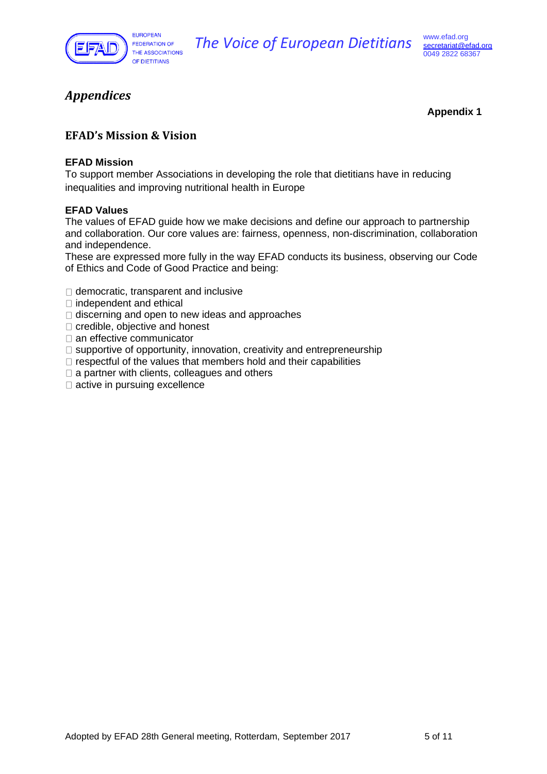

**The Voice of European Dietitians** [www.efad.org](http://www.efad.org/)

# <span id="page-4-0"></span>*Appendices*

**Appendix 1**

### <span id="page-4-1"></span>**EFAD's Mission & Vision**

### **EFAD Mission**

To support member Associations in developing the role that dietitians have in reducing inequalities and improving nutritional health in Europe

### **EFAD Values**

The values of EFAD guide how we make decisions and define our approach to partnership and collaboration. Our core values are: fairness, openness, non-discrimination, collaboration and independence.

These are expressed more fully in the way EFAD conducts its business, observing our Code of Ethics and Code of Good Practice and being:

- $\Box$  democratic, transparent and inclusive
- $\Box$  independent and ethical
- $\Box$  discerning and open to new ideas and approaches
- $\Box$  credible, objective and honest
- $\Box$  an effective communicator
- $\Box$  supportive of opportunity, innovation, creativity and entrepreneurship
- $\Box$  respectful of the values that members hold and their capabilities
- $\Box$  a partner with clients, colleagues and others
- $\Box$  active in pursuing excellence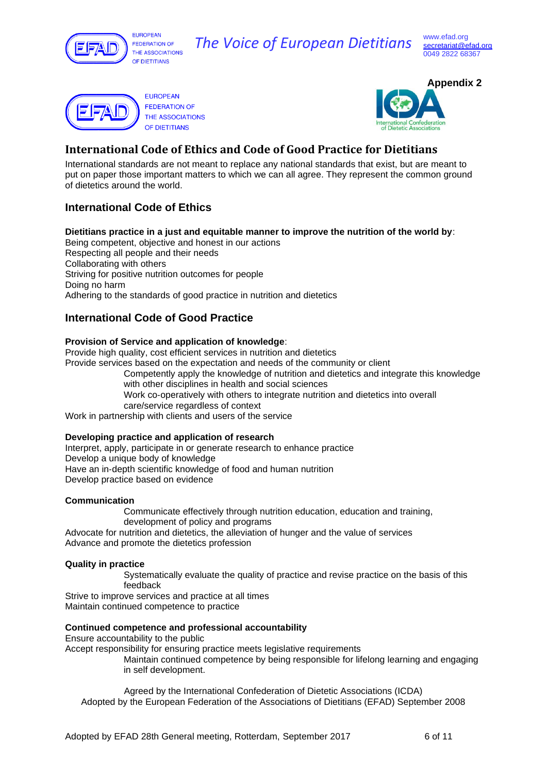

EUROPEAN **FEDERATION OF** THE ASSOCIATIONS OF DIFTITIANS

# **The Voice of European Dietitians** [www.efad.org](http://www.efad.org/)





# <span id="page-5-0"></span>**International Code of Ethics and Code of Good Practice for Dietitians**

International standards are not meant to replace any national standards that exist, but are meant to put on paper those important matters to which we can all agree. They represent the common ground of dietetics around the world.

### **International Code of Ethics**

**Dietitians practice in a just and equitable manner to improve the nutrition of the world by**: Being competent, objective and honest in our actions Respecting all people and their needs Collaborating with others Striving for positive nutrition outcomes for people Doing no harm Adhering to the standards of good practice in nutrition and dietetics

### **International Code of Good Practice**

#### **Provision of Service and application of knowledge**:

Provide high quality, cost efficient services in nutrition and dietetics

Provide services based on the expectation and needs of the community or client

- Competently apply the knowledge of nutrition and dietetics and integrate this knowledge with other disciplines in health and social sciences
- Work co-operatively with others to integrate nutrition and dietetics into overall
- care/service regardless of context

Work in partnership with clients and users of the service

#### **Developing practice and application of research**

Interpret, apply, participate in or generate research to enhance practice Develop a unique body of knowledge Have an in‐depth scientific knowledge of food and human nutrition Develop practice based on evidence

#### **Communication**

Communicate effectively through nutrition education, education and training,

development of policy and programs Advocate for nutrition and dietetics, the alleviation of hunger and the value of services Advance and promote the dietetics profession

#### **Quality in practice**

Systematically evaluate the quality of practice and revise practice on the basis of this feedback

Strive to improve services and practice at all times Maintain continued competence to practice

#### **Continued competence and professional accountability**

Ensure accountability to the public

Accept responsibility for ensuring practice meets legislative requirements

Maintain continued competence by being responsible for lifelong learning and engaging in self development.

Agreed by the International Confederation of Dietetic Associations (ICDA) Adopted by the European Federation of the Associations of Dietitians (EFAD) September 2008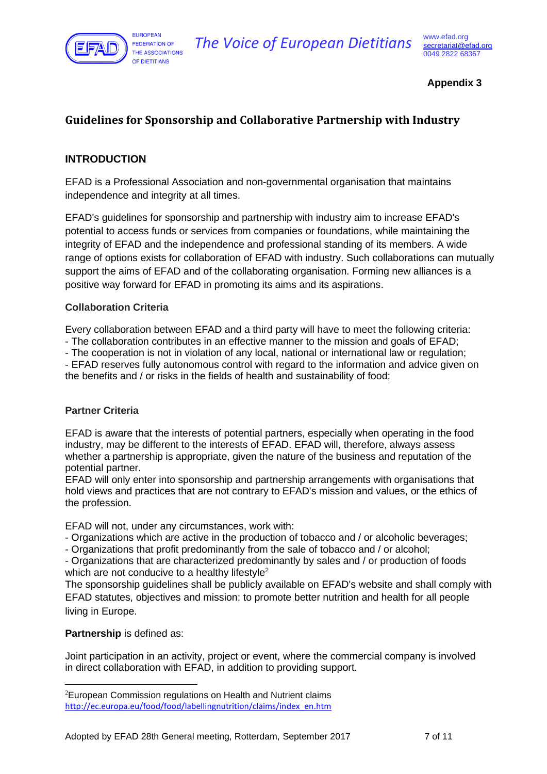

### **Appendix 3**

## <span id="page-6-0"></span>**Guidelines for Sponsorship and Collaborative Partnership with Industry**

### **INTRODUCTION**

EFAD is a Professional Association and non-governmental organisation that maintains independence and integrity at all times.

EFAD's guidelines for sponsorship and partnership with industry aim to increase EFAD's potential to access funds or services from companies or foundations, while maintaining the integrity of EFAD and the independence and professional standing of its members. A wide range of options exists for collaboration of EFAD with industry. Such collaborations can mutually support the aims of EFAD and of the collaborating organisation. Forming new alliances is a positive way forward for EFAD in promoting its aims and its aspirations.

### **Collaboration Criteria**

Every collaboration between EFAD and a third party will have to meet the following criteria:

- The collaboration contributes in an effective manner to the mission and goals of EFAD;

- The cooperation is not in violation of any local, national or international law or regulation;

- EFAD reserves fully autonomous control with regard to the information and advice given on the benefits and / or risks in the fields of health and sustainability of food;

### **Partner Criteria**

EFAD is aware that the interests of potential partners, especially when operating in the food industry, may be different to the interests of EFAD. EFAD will, therefore, always assess whether a partnership is appropriate, given the nature of the business and reputation of the potential partner.

EFAD will only enter into sponsorship and partnership arrangements with organisations that hold views and practices that are not contrary to EFAD's mission and values, or the ethics of the profession.

EFAD will not, under any circumstances, work with:

- Organizations which are active in the production of tobacco and / or alcoholic beverages;
- Organizations that profit predominantly from the sale of tobacco and / or alcohol;

- Organizations that are characterized predominantly by sales and / or production of foods which are not conducive to a healthy lifestyle<sup>2</sup>

The sponsorship guidelines shall be publicly available on EFAD's website and shall comply with EFAD statutes, objectives and mission: to promote better nutrition and health for all people living in Europe.

### **Partnership** is defined as:

Joint participation in an activity, project or event, where the commercial company is involved in direct collaboration with EFAD, in addition to providing support.

<sup>2</sup>European Commission regulations on Health and Nutrient claims [http://ec.europa.eu/food/food/labellingnutrition/claims/index\\_en.htm](http://ec.europa.eu/food/food/labellingnutrition/claims/index_en.htm)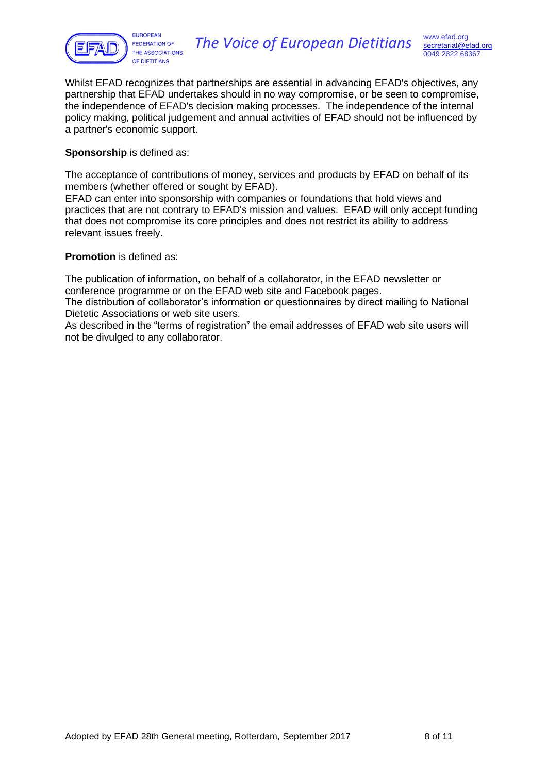

Whilst EFAD recognizes that partnerships are essential in advancing EFAD's objectives, any partnership that EFAD undertakes should in no way compromise, or be seen to compromise, the independence of EFAD's decision making processes. The independence of the internal policy making, political judgement and annual activities of EFAD should not be influenced by a partner's economic support.

#### **Sponsorship** is defined as:

The acceptance of contributions of money, services and products by EFAD on behalf of its members (whether offered or sought by EFAD).

EFAD can enter into sponsorship with companies or foundations that hold views and practices that are not contrary to EFAD's mission and values. EFAD will only accept funding that does not compromise its core principles and does not restrict its ability to address relevant issues freely.

#### **Promotion** is defined as:

The publication of information, on behalf of a collaborator, in the EFAD newsletter or conference programme or on the EFAD web site and Facebook pages.

The distribution of collaborator's information or questionnaires by direct mailing to National Dietetic Associations or web site users.

As described in the "terms of registration" the email addresses of EFAD web site users will not be divulged to any collaborator.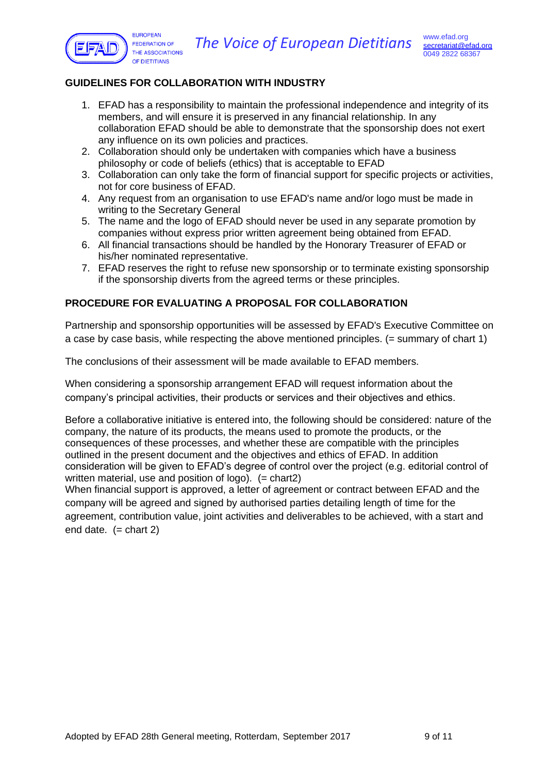



### **GUIDELINES FOR COLLABORATION WITH INDUSTRY**

- 1. EFAD has a responsibility to maintain the professional independence and integrity of its members, and will ensure it is preserved in any financial relationship. In any collaboration EFAD should be able to demonstrate that the sponsorship does not exert any influence on its own policies and practices.
- 2. Collaboration should only be undertaken with companies which have a business philosophy or code of beliefs (ethics) that is acceptable to EFAD
- 3. Collaboration can only take the form of financial support for specific projects or activities, not for core business of EFAD.
- 4. Any request from an organisation to use EFAD's name and/or logo must be made in writing to the Secretary General
- 5. The name and the logo of EFAD should never be used in any separate promotion by companies without express prior written agreement being obtained from EFAD.
- 6. All financial transactions should be handled by the Honorary Treasurer of EFAD or his/her nominated representative.
- 7. EFAD reserves the right to refuse new sponsorship or to terminate existing sponsorship if the sponsorship diverts from the agreed terms or these principles.

### **PROCEDURE FOR EVALUATING A PROPOSAL FOR COLLABORATION**

Partnership and sponsorship opportunities will be assessed by EFAD's Executive Committee on a case by case basis, while respecting the above mentioned principles.  $(=$  summary of chart 1)

The conclusions of their assessment will be made available to EFAD members.

When considering a sponsorship arrangement EFAD will request information about the company's principal activities, their products or services and their objectives and ethics.

Before a collaborative initiative is entered into, the following should be considered: nature of the company, the nature of its products, the means used to promote the products, or the consequences of these processes, and whether these are compatible with the principles outlined in the present document and the objectives and ethics of EFAD. In addition consideration will be given to EFAD's degree of control over the project (e.g. editorial control of written material, use and position of logo).  $(=\text{chart2})$ 

When financial support is approved, a letter of agreement or contract between EFAD and the company will be agreed and signed by authorised parties detailing length of time for the agreement, contribution value, joint activities and deliverables to be achieved, with a start and end date.  $(=\text{chart } 2)$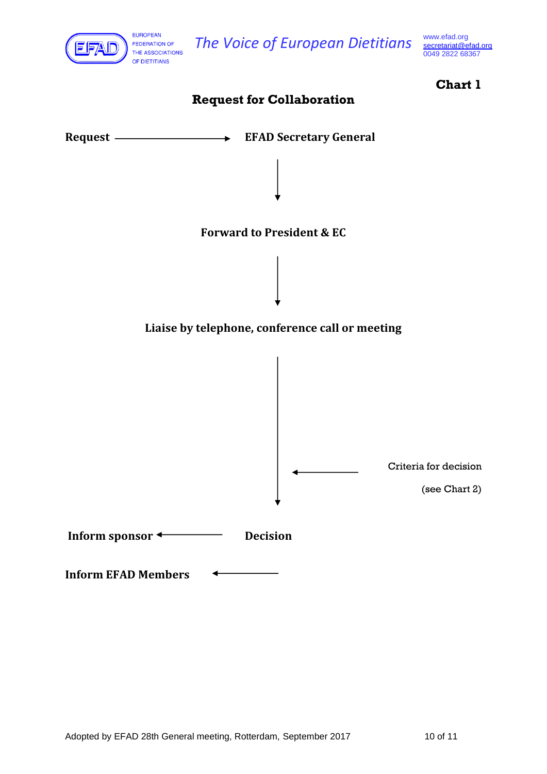

**The Voice of European Dietitians** [www.efad.org](http://www.efad.org/)

0049 2822 68367